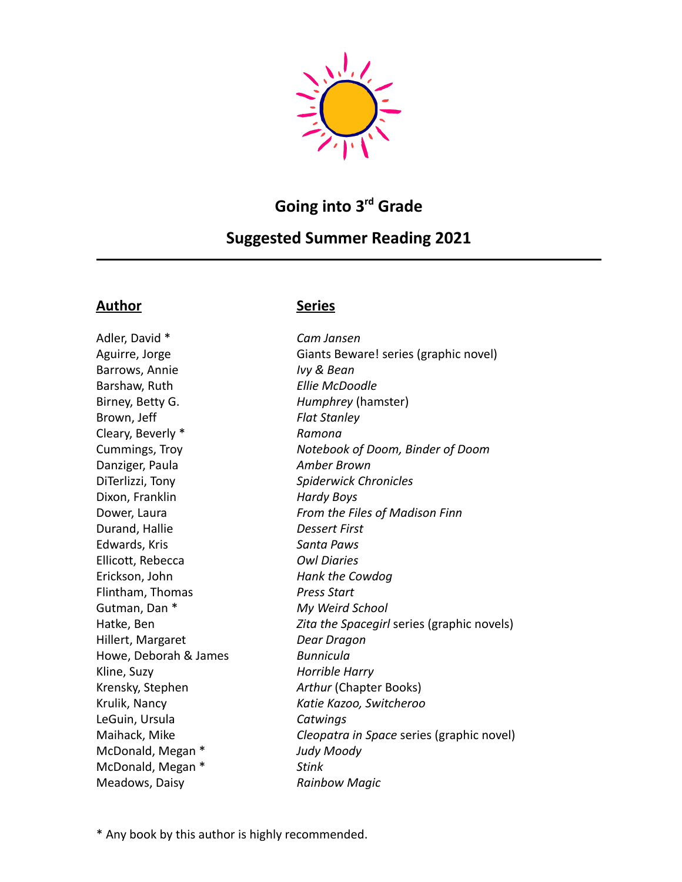

# **Going into 3 rd Grade**

## **Suggested Summer Reading 2021**

### **Author Series**

Adler, David \* *Cam Jansen* Barrows, Annie *Ivy & Bean* Barshaw, Ruth *Ellie McDoodle* Birney, Betty G. *Humphrey* (hamster) Brown, Jeff *Flat Stanley* Cleary, Beverly \* *Ramona* Danziger, Paula *Amber Brown* DiTerlizzi, Tony *Spiderwick Chronicles* Dixon, Franklin *Hardy Boys* Durand, Hallie *Dessert First* Edwards, Kris *Santa Paws* Ellicott, Rebecca *Owl Diaries* Erickson, John *Hank the Cowdog* Flintham, Thomas *Press Start* Gutman, Dan \* *My Weird School* Hillert, Margaret *Dear Dragon* Howe, Deborah & James *Bunnicula* Kline, Suzy *Horrible Harry* Krensky, Stephen *Arthur* (Chapter Books) Krulik, Nancy *Katie Kazoo, Switcheroo* LeGuin, Ursula *Catwings* McDonald, Megan \* *Judy Moody* McDonald, Megan \* *Stink* Meadows, Daisy *Rainbow Magic*

Aguirre, Jorge Giants Beware! series (graphic novel) Cummings, Troy *Notebook of Doom, Binder of Doom* Dower, Laura *From the Files of Madison Finn* Hatke, Ben *Zita the Spacegirl* series (graphic novels) Maihack, Mike *Cleopatra in Space* series (graphic novel)

\* Any book by this author is highly recommended.